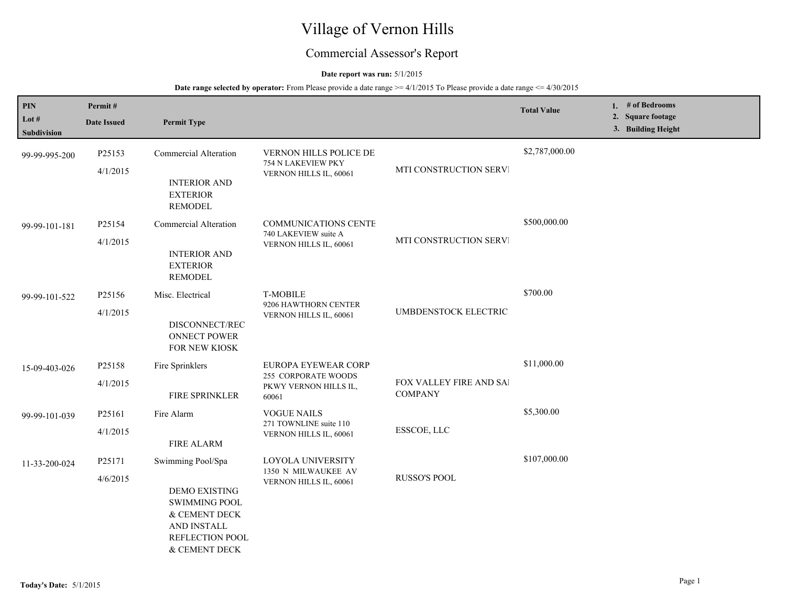# Village of Vernon Hills

## Commercial Assessor's Report

## **Date report was run:** 5/1/2015

| <b>PIN</b><br>Lot #<br>Subdivision | Permit#<br><b>Date Issued</b> | <b>Permit Type</b>                                                                                                                          |                                                                                     |                                           | <b>Total Value</b> | 1. $#$ of Bedrooms<br>2. Square footage<br>3. Building Height |
|------------------------------------|-------------------------------|---------------------------------------------------------------------------------------------------------------------------------------------|-------------------------------------------------------------------------------------|-------------------------------------------|--------------------|---------------------------------------------------------------|
| 99-99-995-200                      | P25153<br>4/1/2015            | Commercial Alteration<br><b>INTERIOR AND</b><br><b>EXTERIOR</b><br><b>REMODEL</b>                                                           | VERNON HILLS POLICE DE<br>754 N LAKEVIEW PKY<br>VERNON HILLS IL, 60061              | MTI CONSTRUCTION SERVI                    | \$2,787,000.00     |                                                               |
| 99-99-101-181                      | P25154<br>4/1/2015            | Commercial Alteration<br><b>INTERIOR AND</b><br><b>EXTERIOR</b><br><b>REMODEL</b>                                                           | <b>COMMUNICATIONS CENTE</b><br>740 LAKEVIEW suite A<br>VERNON HILLS IL, 60061       | MTI CONSTRUCTION SERVI                    | \$500,000.00       |                                                               |
| 99-99-101-522                      | P25156<br>4/1/2015            | Misc. Electrical<br>DISCONNECT/REC<br><b>ONNECT POWER</b><br>FOR NEW KIOSK                                                                  | <b>T-MOBILE</b><br>9206 HAWTHORN CENTER<br>VERNON HILLS IL, 60061                   | UMBDENSTOCK ELECTRIC                      | \$700.00           |                                                               |
| 15-09-403-026                      | P25158<br>4/1/2015            | Fire Sprinklers<br>FIRE SPRINKLER                                                                                                           | EUROPA EYEWEAR CORP<br><b>255 CORPORATE WOODS</b><br>PKWY VERNON HILLS IL,<br>60061 | FOX VALLEY FIRE AND SAI<br><b>COMPANY</b> | \$11,000.00        |                                                               |
| 99-99-101-039                      | P25161<br>4/1/2015            | Fire Alarm<br><b>FIRE ALARM</b>                                                                                                             | <b>VOGUE NAILS</b><br>271 TOWNLINE suite 110<br>VERNON HILLS IL, 60061              | ESSCOE, LLC                               | \$5,300.00         |                                                               |
| 11-33-200-024                      | P25171<br>4/6/2015            | Swimming Pool/Spa<br><b>DEMO EXISTING</b><br><b>SWIMMING POOL</b><br>$\&$ CEMENT DECK<br>AND INSTALL<br>REFLECTION POOL<br>$\&$ CEMENT DECK | LOYOLA UNIVERSITY<br>1350 N MILWAUKEE AV<br>VERNON HILLS IL, 60061                  | RUSSO'S POOL                              | \$107,000.00       |                                                               |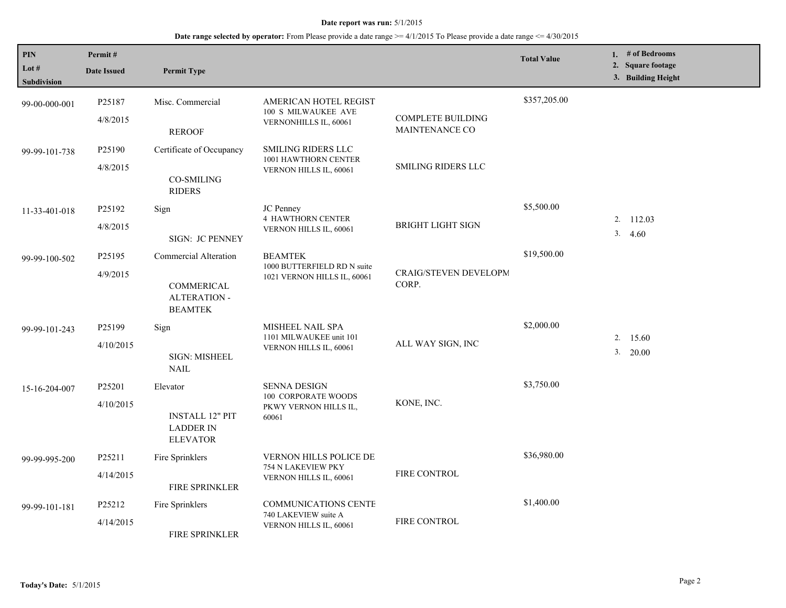| <b>PIN</b><br>Lot # | Permit#<br><b>Date Issued</b> | <b>Permit Type</b>                                            |                                                                              |                                                   | <b>Total Value</b> | 1. # of Bedrooms<br>2. Square footage |
|---------------------|-------------------------------|---------------------------------------------------------------|------------------------------------------------------------------------------|---------------------------------------------------|--------------------|---------------------------------------|
| Subdivision         |                               |                                                               |                                                                              |                                                   |                    | 3. Building Height                    |
| 99-00-000-001       | P25187                        | Misc. Commercial                                              | AMERICAN HOTEL REGIST<br>100 S MILWAUKEE AVE                                 |                                                   | \$357,205.00       |                                       |
|                     | 4/8/2015                      | <b>REROOF</b>                                                 | VERNONHILLS IL, 60061                                                        | <b>COMPLETE BUILDING</b><br><b>MAINTENANCE CO</b> |                    |                                       |
| 99-99-101-738       | P25190                        | Certificate of Occupancy                                      | <b>SMILING RIDERS LLC</b><br>1001 HAWTHORN CENTER                            | <b>SMILING RIDERS LLC</b>                         |                    |                                       |
|                     | 4/8/2015                      | <b>CO-SMILING</b><br><b>RIDERS</b>                            | VERNON HILLS IL, 60061                                                       |                                                   |                    |                                       |
| 11-33-401-018       | P25192                        | Sign                                                          | JC Penney                                                                    | <b>BRIGHT LIGHT SIGN</b>                          | \$5,500.00         |                                       |
|                     | 4/8/2015                      | SIGN: JC PENNEY                                               | <b>4 HAWTHORN CENTER</b><br>VERNON HILLS IL, 60061                           |                                                   |                    | 2. 112.03<br>3.<br>4.60               |
| 99-99-100-502       | P25195                        | Commercial Alteration                                         | <b>BEAMTEK</b><br>1000 BUTTERFIELD RD N suite<br>1021 VERNON HILLS IL, 60061 | CRAIG/STEVEN DEVELOPM<br>CORP.                    | \$19,500.00        |                                       |
|                     | 4/9/2015                      | COMMERICAL<br><b>ALTERATION -</b><br><b>BEAMTEK</b>           |                                                                              |                                                   |                    |                                       |
| 99-99-101-243       | P25199                        | Sign                                                          | MISHEEL NAIL SPA<br>1101 MILWAUKEE unit 101<br>VERNON HILLS IL, 60061        | ALL WAY SIGN, INC                                 | \$2,000.00         | 2. 15.60                              |
|                     | 4/10/2015                     | SIGN: MISHEEL<br><b>NAIL</b>                                  |                                                                              |                                                   |                    | 3.<br>20.00                           |
| 15-16-204-007       | P25201                        | Elevator                                                      | <b>SENNA DESIGN</b>                                                          | KONE, INC.                                        | \$3,750.00         |                                       |
|                     | 4/10/2015                     | <b>INSTALL 12" PIT</b><br><b>LADDER IN</b><br><b>ELEVATOR</b> | 100 CORPORATE WOODS<br>PKWY VERNON HILLS IL,<br>60061                        |                                                   |                    |                                       |
| 99-99-995-200       | P25211                        | Fire Sprinklers                                               | <b>VERNON HILLS POLICE DE</b>                                                | FIRE CONTROL                                      | \$36,980.00        |                                       |
|                     | 4/14/2015                     | <b>FIRE SPRINKLER</b>                                         | 754 N LAKEVIEW PKY<br>VERNON HILLS IL, 60061                                 |                                                   |                    |                                       |
| 99-99-101-181       | P25212                        | Fire Sprinklers                                               | <b>COMMUNICATIONS CENTE</b>                                                  | FIRE CONTROL                                      | \$1,400.00         |                                       |
|                     | 4/14/2015                     | FIRE SPRINKLER                                                | 740 LAKEVIEW suite A<br>VERNON HILLS IL, 60061                               |                                                   |                    |                                       |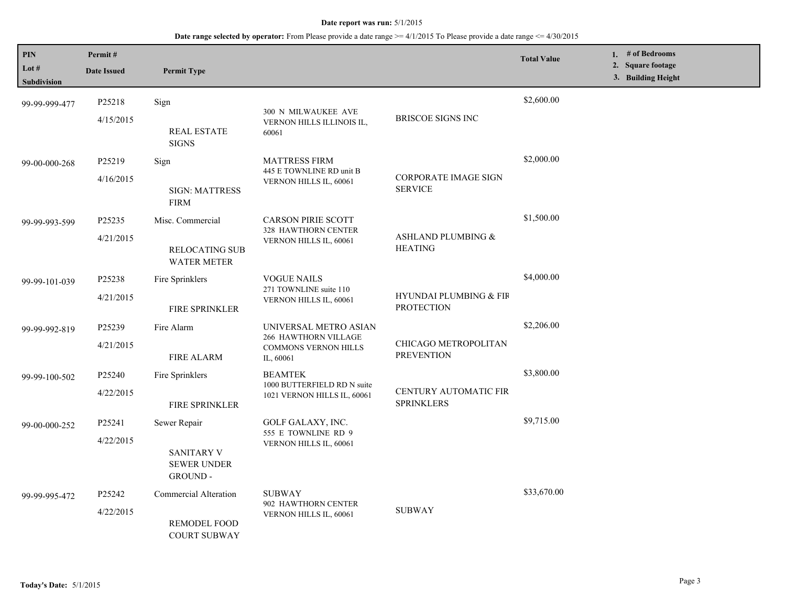| PIN<br>Lot #<br>Subdivision | Permit#<br><b>Date Issued</b> | <b>Permit Type</b>                                 |                                                                                           |                                                        | <b>Total Value</b> | 1. # of Bedrooms<br>2. Square footage<br>3. Building Height |
|-----------------------------|-------------------------------|----------------------------------------------------|-------------------------------------------------------------------------------------------|--------------------------------------------------------|--------------------|-------------------------------------------------------------|
|                             |                               |                                                    |                                                                                           |                                                        |                    |                                                             |
| 99-99-999-477               | P25218                        | Sign                                               | 300 N MILWAUKEE AVE                                                                       |                                                        | \$2,600.00         |                                                             |
|                             | 4/15/2015                     | <b>REAL ESTATE</b><br><b>SIGNS</b>                 | VERNON HILLS ILLINOIS IL,<br>60061                                                        | BRISCOE SIGNS INC                                      |                    |                                                             |
| 99-00-000-268               | P25219                        | Sign                                               | <b>MATTRESS FIRM</b>                                                                      |                                                        | \$2,000.00         |                                                             |
|                             | 4/16/2015                     | <b>SIGN: MATTRESS</b><br><b>FIRM</b>               | 445 E TOWNLINE RD unit B<br>VERNON HILLS IL, 60061                                        | <b>CORPORATE IMAGE SIGN</b><br><b>SERVICE</b>          |                    |                                                             |
| 99-99-993-599               | P25235                        | Misc. Commercial                                   | <b>CARSON PIRIE SCOTT</b><br>328 HAWTHORN CENTER<br>VERNON HILLS IL, 60061                |                                                        | \$1,500.00         |                                                             |
|                             | 4/21/2015                     | <b>RELOCATING SUB</b><br><b>WATER METER</b>        |                                                                                           | ASHLAND PLUMBING &<br><b>HEATING</b>                   |                    |                                                             |
| 99-99-101-039               | P25238                        | Fire Sprinklers                                    | <b>VOGUE NAILS</b><br>271 TOWNLINE suite 110<br>VERNON HILLS IL, 60061                    |                                                        | \$4,000.00         |                                                             |
|                             | 4/21/2015                     | <b>FIRE SPRINKLER</b>                              |                                                                                           | <b>HYUNDAI PLUMBING &amp; FIR</b><br><b>PROTECTION</b> |                    |                                                             |
| 99-99-992-819               | P25239                        | Fire Alarm                                         | UNIVERSAL METRO ASIAN<br>266 HAWTHORN VILLAGE<br><b>COMMONS VERNON HILLS</b><br>IL, 60061 | CHICAGO METROPOLITAN<br><b>PREVENTION</b>              | \$2,206.00         |                                                             |
|                             | 4/21/2015                     | <b>FIRE ALARM</b>                                  |                                                                                           |                                                        |                    |                                                             |
| 99-99-100-502               | P25240                        | Fire Sprinklers                                    | <b>BEAMTEK</b><br>1000 BUTTERFIELD RD N suite<br>1021 VERNON HILLS IL, 60061              | CENTURY AUTOMATIC FIR<br><b>SPRINKLERS</b>             | \$3,800.00         |                                                             |
|                             | 4/22/2015                     | <b>FIRE SPRINKLER</b>                              |                                                                                           |                                                        |                    |                                                             |
| 99-00-000-252               | P25241                        | Sewer Repair                                       | GOLF GALAXY, INC.<br>555 E TOWNLINE RD 9<br>VERNON HILLS IL, 60061                        |                                                        | \$9,715.00         |                                                             |
|                             | 4/22/2015                     | <b>SANITARY V</b><br><b>SEWER UNDER</b><br>GROUND- |                                                                                           |                                                        |                    |                                                             |
| 99-99-995-472               | P25242                        | Commercial Alteration                              | <b>SUBWAY</b>                                                                             | <b>SUBWAY</b>                                          | \$33,670.00        |                                                             |
|                             | 4/22/2015                     | REMODEL FOOD<br><b>COURT SUBWAY</b>                | 902 HAWTHORN CENTER<br>VERNON HILLS IL, 60061                                             |                                                        |                    |                                                             |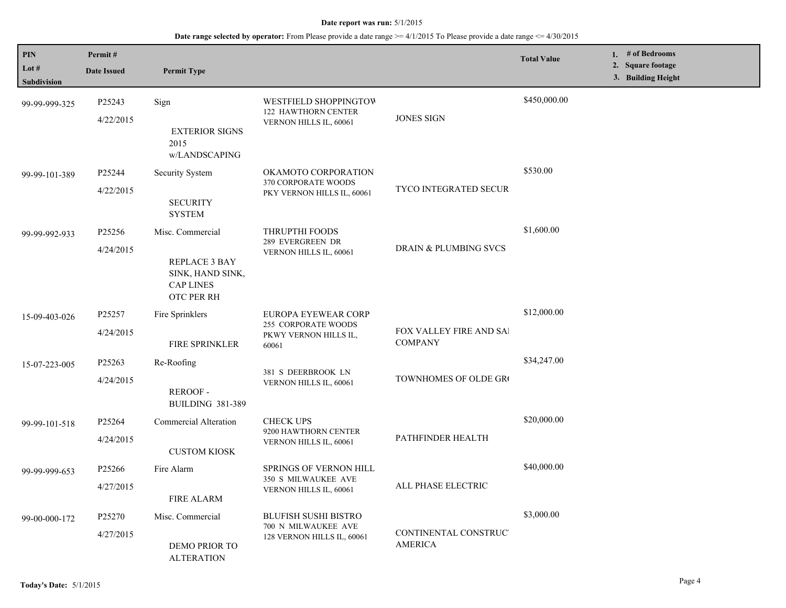| <b>PIN</b>    | Permit#            |                                                                     |                                                                                         |                                           | <b>Total Value</b> | 1. # of Bedrooms                        |  |
|---------------|--------------------|---------------------------------------------------------------------|-----------------------------------------------------------------------------------------|-------------------------------------------|--------------------|-----------------------------------------|--|
| Lot $#$       | <b>Date Issued</b> | <b>Permit Type</b>                                                  |                                                                                         |                                           |                    | 2. Square footage<br>3. Building Height |  |
| Subdivision   |                    |                                                                     |                                                                                         |                                           |                    |                                         |  |
| 99-99-999-325 | P25243             | Sign                                                                | WESTFIELD SHOPPINGTOW<br><b>122 HAWTHORN CENTER</b>                                     |                                           | \$450,000.00       |                                         |  |
|               | 4/22/2015          | <b>EXTERIOR SIGNS</b><br>2015<br>w/LANDSCAPING                      | VERNON HILLS IL, 60061                                                                  | <b>JONES SIGN</b>                         |                    |                                         |  |
| 99-99-101-389 | P25244             | Security System                                                     | OKAMOTO CORPORATION<br>370 CORPORATE WOODS<br>PKY VERNON HILLS IL, 60061                | <b>TYCO INTEGRATED SECUR</b>              | \$530.00           |                                         |  |
|               | 4/22/2015          | <b>SECURITY</b><br><b>SYSTEM</b>                                    |                                                                                         |                                           |                    |                                         |  |
| 99-99-992-933 | P25256             | Misc. Commercial                                                    | THRUPTHI FOODS<br>289 EVERGREEN DR<br>VERNON HILLS IL, 60061                            | <b>DRAIN &amp; PLUMBING SVCS</b>          | \$1,600.00         |                                         |  |
|               | 4/24/2015          | REPLACE 3 BAY<br>SINK, HAND SINK,<br><b>CAP LINES</b><br>OTC PER RH |                                                                                         |                                           |                    |                                         |  |
| 15-09-403-026 | P25257             | Fire Sprinklers                                                     | EUROPA EYEWEAR CORP                                                                     | FOX VALLEY FIRE AND SAI<br><b>COMPANY</b> | \$12,000.00        |                                         |  |
|               | 4/24/2015          | <b>FIRE SPRINKLER</b>                                               | 255 CORPORATE WOODS<br>PKWY VERNON HILLS IL,<br>60061                                   |                                           |                    |                                         |  |
| 15-07-223-005 | P <sub>25263</sub> | Re-Roofing                                                          | 381 S DEERBROOK LN<br>VERNON HILLS IL, 60061                                            | TOWNHOMES OF OLDE GRO                     | \$34,247.00        |                                         |  |
|               | 4/24/2015          | <b>REROOF-</b><br><b>BUILDING 381-389</b>                           |                                                                                         |                                           |                    |                                         |  |
| 99-99-101-518 | P25264             | Commercial Alteration                                               | <b>CHECK UPS</b><br>9200 HAWTHORN CENTER<br>PATHFINDER HEALTH<br>VERNON HILLS IL, 60061 |                                           | \$20,000.00        |                                         |  |
|               | 4/24/2015          | <b>CUSTOM KIOSK</b>                                                 |                                                                                         |                                           |                    |                                         |  |
| 99-99-999-653 | P25266             | Fire Alarm                                                          | SPRINGS OF VERNON HILL<br><b>350 S MILWAUKEE AVE</b><br>VERNON HILLS IL, 60061          |                                           | \$40,000.00        |                                         |  |
|               | 4/27/2015          | <b>FIRE ALARM</b>                                                   |                                                                                         | ALL PHASE ELECTRIC                        |                    |                                         |  |
| 99-00-000-172 | P25270             | Misc. Commercial                                                    | <b>BLUFISH SUSHI BISTRO</b><br>700 N MILWAUKEE AVE                                      | CONTINENTAL CONSTRUC'<br><b>AMERICA</b>   | \$3,000.00         |                                         |  |
|               | 4/27/2015          | DEMO PRIOR TO<br><b>ALTERATION</b>                                  | 128 VERNON HILLS IL, 60061                                                              |                                           |                    |                                         |  |